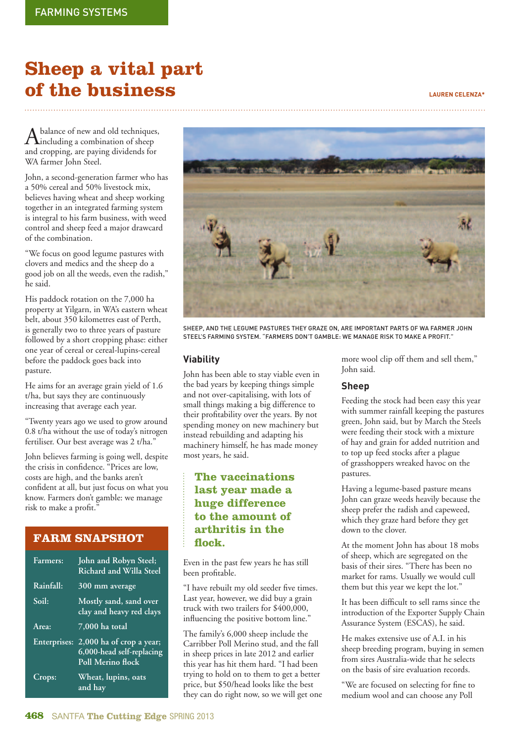# **Sheep a vital part of the business LAUREN CELENZA\***

 $A$  balance of new and old techniques,<br>including a combination of sheep and cropping, are paying dividends for WA farmer John Steel.

John, a second-generation farmer who has a 50% cereal and 50% livestock mix, believes having wheat and sheep working together in an integrated farming system is integral to his farm business, with weed control and sheep feed a major drawcard of the combination.

"We focus on good legume pastures with clovers and medics and the sheep do a good job on all the weeds, even the radish," he said.

His paddock rotation on the 7,000 ha property at Yilgarn, in WA's eastern wheat belt, about 350 kilometres east of Perth, is generally two to three years of pasture followed by a short cropping phase: either one year of cereal or cereal-lupins-cereal before the paddock goes back into pasture.

He aims for an average grain yield of 1.6 t/ha, but says they are continuously increasing that average each year.

"Twenty years ago we used to grow around 0.8 t/ha without the use of today's nitrogen fertiliser. Our best average was 2 t/ha."

John believes farming is going well, despite the crisis in confidence. "Prices are low, costs are high, and the banks aren't confident at all, but just focus on what you know. Farmers don't gamble: we manage risk to make a profit."

## **FARM SNAPSHOT**

| Farmers:            | John and Robyn Steel;<br><b>Richard and Willa Steel</b>                    |
|---------------------|----------------------------------------------------------------------------|
| Rainfall:           | 300 mm average                                                             |
| Soil:               | Mostly sand, sand over<br>clay and heavy red clays                         |
| Area:               | $7,000$ ha total                                                           |
| <b>Enterprises:</b> | 2,000 ha of crop a year;<br>6,000-head self-replacing<br>Poll Merino flock |
| Crops:              | Wheat, lupins, oats<br>and hay                                             |



SHEEP, AND THE LEGUME PASTURES THEY GRAZE ON, ARE IMPORTANT PARTS OF WA FARMER JOHN STEEL'S FARMING SYSTEM. "FARMERS DON'T GAMBLE: WE MANAGE RISK TO MAKE A PROFIT."

#### **Viability**

John has been able to stay viable even in the bad years by keeping things simple and not over-capitalising, with lots of small things making a big difference to their profitability over the years. By not spending money on new machinery but instead rebuilding and adapting his machinery himself, he has made money most years, he said.

## **The vaccinations last year made a huge difference to the amount of arthritis in the fl ock.**

Even in the past few years he has still been profitable.

"I have rebuilt my old seeder five times. Last year, however, we did buy a grain truck with two trailers for \$400,000, influencing the positive bottom line."

The family's 6,000 sheep include the Carribber Poll Merino stud, and the fall in sheep prices in late 2012 and earlier this year has hit them hard. "I had been trying to hold on to them to get a better price, but \$50/head looks like the best they can do right now, so we will get one more wool clip off them and sell them," John said.

#### **Sheep**

Feeding the stock had been easy this year with summer rainfall keeping the pastures green, John said, but by March the Steels were feeding their stock with a mixture of hay and grain for added nutrition and to top up feed stocks after a plague of grasshoppers wreaked havoc on the pastures.

Having a legume-based pasture means John can graze weeds heavily because the sheep prefer the radish and capeweed, which they graze hard before they get down to the clover.

At the moment John has about 18 mobs of sheep, which are segregated on the basis of their sires. "There has been no market for rams. Usually we would cull them but this year we kept the lot."

It has been difficult to sell rams since the introduction of the Exporter Supply Chain Assurance System (ESCAS), he said.

He makes extensive use of A.I. in his sheep breeding program, buying in semen from sires Australia-wide that he selects on the basis of sire evaluation records.

"We are focused on selecting for fine to medium wool and can choose any Poll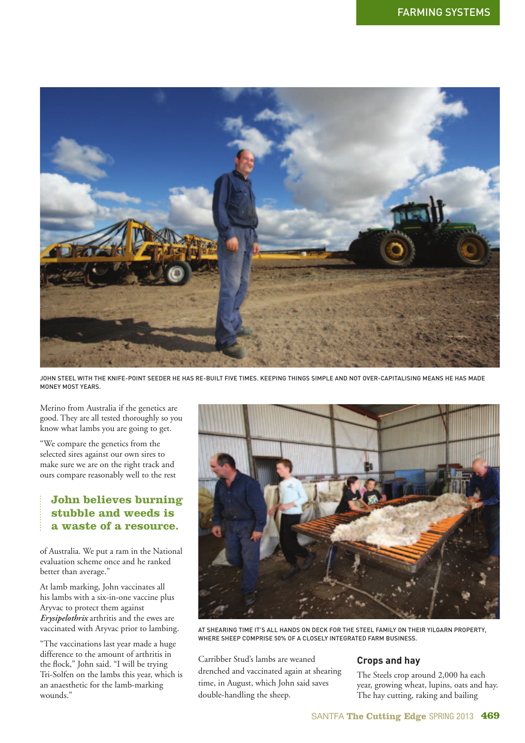

JOHN STEEL WITH THE KNIFE-POINT SEEDER HE HAS RE-BUILT FIVE TIMES. KEEPING THINGS SIMPLE AND NOT OVER-CAPITALISING MEANS HE HAS MADE MONEY MOST YEARS.

Merino from Australia if the genetics are good. They are all tested thoroughly so you know what lambs you are going to get.

"We compare the genetics from the selected sires against our own sires to make sure we are on the right track and ours compare reasonably well to the rest

## **John believes burning stubble and weeds is a waste of a resource.**

of Australia. We put a ram in the National evaluation scheme once and he ranked better than average."

At lamb marking, John vaccinates all his lambs with a six-in-one vaccine plus Aryvac to protect them against *Erysipelothrix* arthritis and the ewes are vaccinated with Aryvac prior to lambing.

"The vaccinations last year made a huge difference to the amount of arthritis in the flock," John said. "I will be trying Tri-Solfen on the lambs this year, which is an anaesthetic for the lamb-marking wounds."



AT SHEARING TIME IT'S ALL HANDS ON DECK FOR THE STEEL FAMILY ON THEIR YILGARN PROPERTY, WHERE SHEEP COMPRISE 50% OF A CLOSELY INTEGRATED FARM BUSINESS.

Carribber Stud's lambs are weaned drenched and vaccinated again at shearing time, in August, which John said saves double-handling the sheep.

#### **Crops and hay**

The Steels crop around 2,000 ha each year, growing wheat, lupins, oats and hay. The hay cutting, raking and bailing